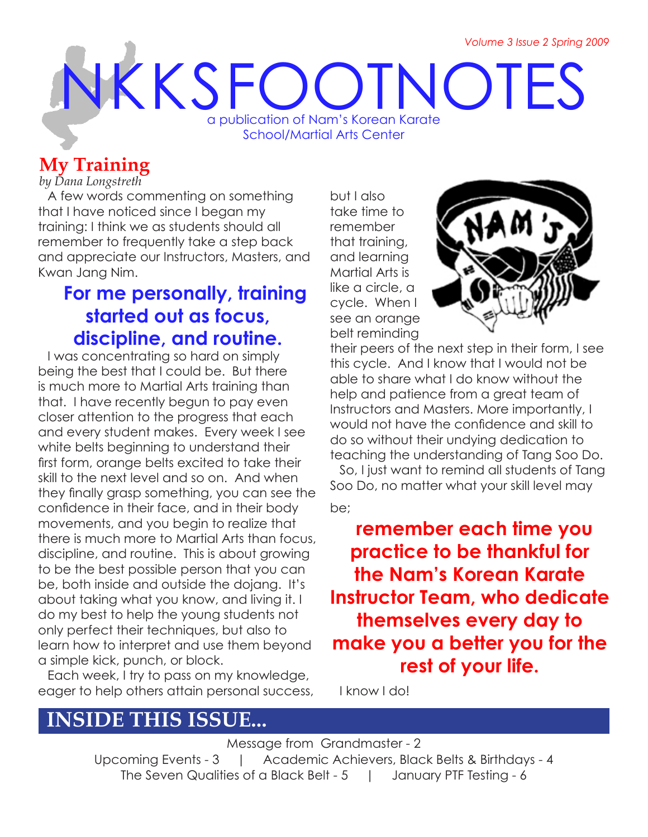*Volume 3 Issue 2 Spring 2009*

# NKKSFOOTNOTES a publication of Nam's Korean Karate School/Martial Arts Center

# **My Training**

*by Dana Longstreth*

A few words commenting on something that I have noticed since I began my training: I think we as students should all remember to frequently take a step back and appreciate our Instructors, Masters, and Kwan Jang Nim.

# **For me personally, training started out as focus, discipline, and routine.**

I was concentrating so hard on simply being the best that I could be. But there is much more to Martial Arts training than that. I have recently begun to pay even closer attention to the progress that each and every student makes. Every week I see white belts beginning to understand their first form, orange belts excited to take their skill to the next level and so on. And when they finally grasp something, you can see the confidence in their face, and in their body movements, and you begin to realize that there is much more to Martial Arts than focus, discipline, and routine. This is about growing to be the best possible person that you can be, both inside and outside the dojang. It's about taking what you know, and living it. I do my best to help the young students not only perfect their techniques, but also to learn how to interpret and use them beyond a simple kick, punch, or block.

Each week, I try to pass on my knowledge, eager to help others attain personal success,

# **INSIDE THIS ISSUE...**

but I also take time to remember that training, and learning Martial Arts is like a circle, a cycle. When I see an orange belt reminding



their peers of the next step in their form, I see this cycle. And I know that I would not be able to share what I do know without the help and patience from a great team of Instructors and Masters. More importantly, I would not have the confidence and skill to do so without their undying dedication to teaching the understanding of Tang Soo Do.

So, I just want to remind all students of Tang Soo Do, no matter what your skill level may be;

**remember each time you practice to be thankful for the Nam's Korean Karate Instructor Team, who dedicate themselves every day to make you a better you for the rest of your life.** 

I know I do!

Message from Grandmaster - 2 Upcoming Events - 3 | Academic Achievers, Black Belts & Birthdays - 4 The Seven Qualities of a Black Belt - 5 | January PTF Testing - 6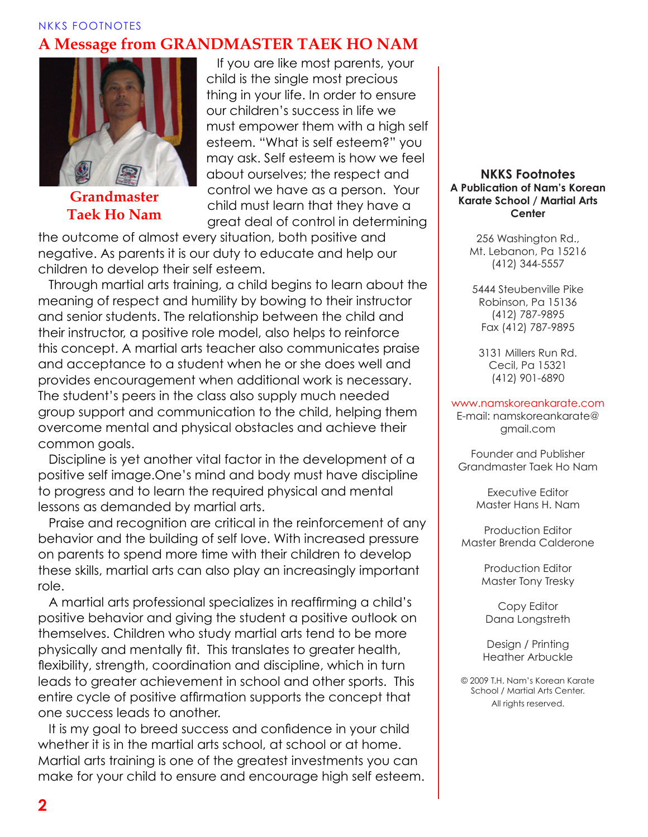### NKKS FOOTNOTES **A Message from GRANDMASTER TAEK HO NAM**



**Grandmaster Taek Ho Nam**

If you are like most parents, your child is the single most precious thing in your life. In order to ensure our children's success in life we must empower them with a high self esteem. "What is self esteem?" you may ask. Self esteem is how we feel about ourselves; the respect and control we have as a person. Your child must learn that they have a great deal of control in determining

the outcome of almost every situation, both positive and negative. As parents it is our duty to educate and help our children to develop their self esteem.

Through martial arts training, a child begins to learn about the meaning of respect and humility by bowing to their instructor and senior students. The relationship between the child and their instructor, a positive role model, also helps to reinforce this concept. A martial arts teacher also communicates praise and acceptance to a student when he or she does well and provides encouragement when additional work is necessary. The student's peers in the class also supply much needed group support and communication to the child, helping them overcome mental and physical obstacles and achieve their common goals.

Discipline is yet another vital factor in the development of a positive self image.One's mind and body must have discipline to progress and to learn the required physical and mental lessons as demanded by martial arts.

Praise and recognition are critical in the reinforcement of any behavior and the building of self love. With increased pressure on parents to spend more time with their children to develop these skills, martial arts can also play an increasingly important role.

A martial arts professional specializes in reaffirming a child's positive behavior and giving the student a positive outlook on themselves. Children who study martial arts tend to be more physically and mentally fit. This translates to greater health, flexibility, strength, coordination and discipline, which in turn leads to greater achievement in school and other sports. This entire cycle of positive affirmation supports the concept that one success leads to another.

It is my goal to breed success and confidence in your child whether it is in the martial arts school, at school or at home. Martial arts training is one of the greatest investments you can make for your child to ensure and encourage high self esteem.

#### **NKKS Footnotes A Publication of Nam's Korean Karate School / Martial Arts Center**

256 Washington Rd., Mt. Lebanon, Pa 15216 (412) 344-5557

5444 Steubenville Pike Robinson, Pa 15136 (412) 787-9895 Fax (412) 787-9895

3131 Millers Run Rd. Cecil, Pa 15321 (412) 901-6890

www.namskoreankarate.com

E-mail: namskoreankarate@ gmail.com

Founder and Publisher Grandmaster Taek Ho Nam

> Executive Editor Master Hans H. Nam

Production Editor Master Brenda Calderone

> Production Editor Master Tony Tresky

Copy Editor Dana Longstreth

Design / Printing Heather Arbuckle

© 2009 T.H. Nam's Korean Karate School / Martial Arts Center. All rights reserved.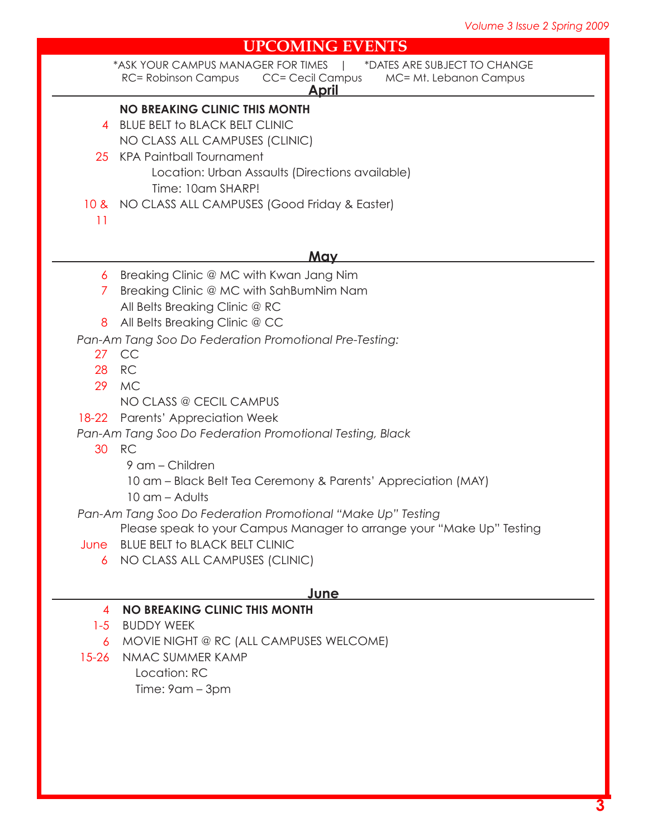#### **UPCOMING EVENTS**

| *ASK YOUR CAMPUS MANAGER FOR TIMES |                  | *DATES ARE SUBJECT TO CHANGE |
|------------------------------------|------------------|------------------------------|
| RC= Robinson Campus                | CC= Cecil Campus | MC= Mt. Lebanon Campus       |
| <u>A nril</u>                      |                  |                              |

#### **April**

#### **NO BREAKING CLINIC THIS MONTH**

- 4 BLUE BELT to BLACK BELT CLINIC NO CLASS ALL CAMPUSES (CLINIC)
- 25 KPA Paintball Tournament Location: Urban Assaults (Directions available) Time: 10am SHARP!
- 10 & NO CLASS ALL CAMPUSES (Good Friday & Easter)

11

#### **May**

- 6 Breaking Clinic @ MC with Kwan Jang Nim
- 7 Breaking Clinic @ MC with SahBumNim Nam All Belts Breaking Clinic @ RC
- 8 All Belts Breaking Clinic @ CC

*Pan-Am Tang Soo Do Federation Promotional Pre-Testing:*

- 27 CC
- 28 RC
- 29 MC
	- NO CLASS @ CECIL CAMPUS

18-22 Parents' Appreciation Week

#### *Pan-Am Tang Soo Do Federation Promotional Testing, Black*

30 RC

9 am – Children

10 am – Black Belt Tea Ceremony & Parents' Appreciation (MAY)

10 am – Adults

*Pan-Am Tang Soo Do Federation Promotional "Make Up" Testing*

Please speak to your Campus Manager to arrange your "Make Up" Testing

- June BLUE BELT to BLACK BELT CLINIC
	- 6 NO CLASS ALL CAMPUSES (CLINIC)

#### **June**

#### **NO BREAKING CLINIC THIS MONTH** 4

- 1-5 BUDDY WEEK
- 6 MOVIE NIGHT @ RC (ALL CAMPUSES WELCOME)
- 15-26 NMAC SUMMER KAMP
	- Location: RC Time: 9am – 3pm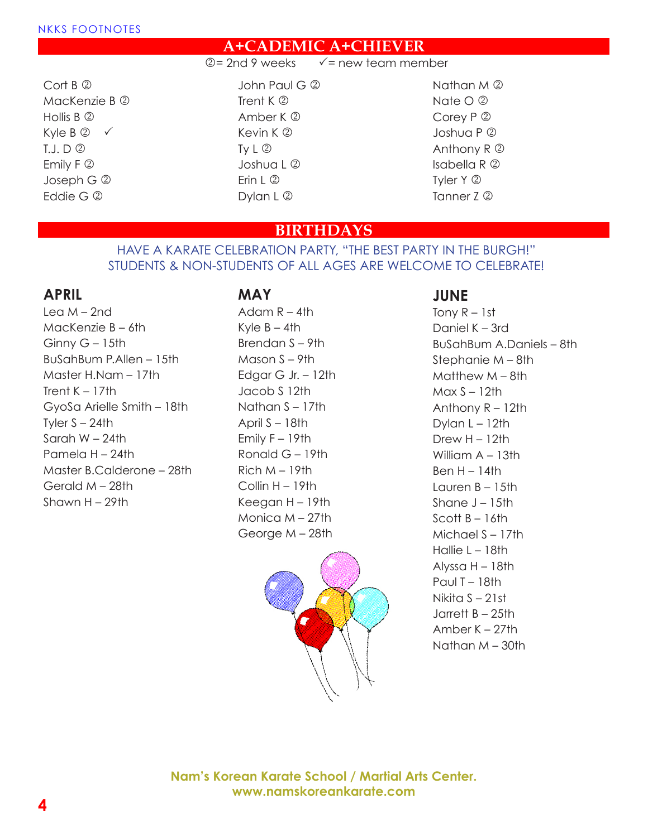#### **A+CADEMIC A+CHIEVER**

- $\oslash$  2nd 9 weeks  $\checkmark$  = new team member
- $Cort B<sub>Q</sub>$ MacKenzie B 2 Hollis B 2 Kyle B  $\oslash$   $\checkmark$  $I.J.D<sub>2</sub>$ Emily  $F$   $\circledcirc$ Joseph G 2 Eddie G 2

John Paul G 2 Trent  $K$   $Q$ Amber K 2 Kevin K 2 Tv  $L<sup>2</sup>$ Joshua L 2 Erin  $L \n  
  $\n  
  $\n$$$ Dylan L 2

Nathan M 2 Nate  $O$   $Q$ Corey P 2 Joshua P 2 Anthony  $R$   $\odot$ Isabella R 2 Tyler Y 2 Tanner Z 2

#### **BIRTHDAYS**

#### HAVE A KARATE CELEBRATION PARTY, "THE BEST PARTY IN THE BURGH!" STUDENTS & NON-STUDENTS OF ALL AGES ARE WELCOME TO CELEBRATE!

#### **APRIL**

Lea M – 2nd MacKenzie B – 6th Ginny G – 15th BuSahBum P.Allen – 15th Master H.Nam – 17th Trent  $K - 17$ th GyoSa Arielle Smith – 18th Tyler  $S - 24$ th Sarah W – 24th Pamela H – 24th Master B.Calderone – 28th Gerald M – 28th Shawn H – 29th

#### **MAY**

Adam  $R - 4$ th Kyle  $B - 4th$ Brendan S – 9th Mason S – 9th Edgar G Jr. – 12th Jacob S 12th Nathan S – 17th April S – 18th Emily F – 19th Ronald G – 19th  $Richard - 19th$ Collin H – 19th Keegan H – 19th Monica M – 27th George M – 28th



#### **JUNE**

Tony R – 1st Daniel K – 3rd BuSahBum A.Daniels – 8th Stephanie M – 8th Matthew M – 8th  $Max S - 12th$ Anthony R – 12th Dylan  $L - 12$ th Drew  $H - 12$ th William A – 13th  $Ben H - 14th$ Lauren B – 15th Shane  $J - 15$ th Scott B – 16th Michael S – 17th Hallie L – 18th Alyssa H – 18th Paul T $-18$ th Nikita S – 21st Jarrett B – 25th Amber K – 27th Nathan M – 30th

**Nam's Korean Karate School / Martial Arts Center. www.namskoreankarate.com**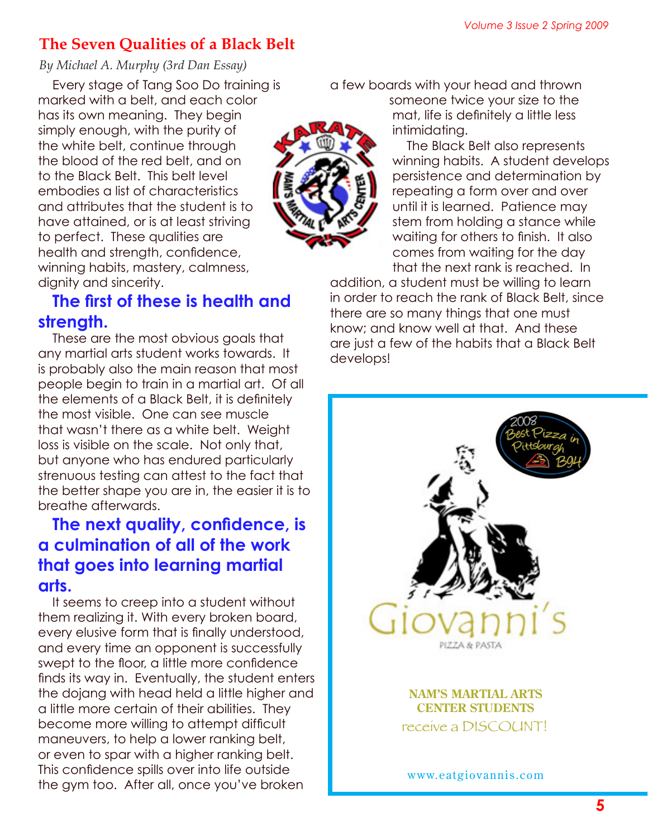# **The Seven Qualities of a Black Belt**

*By Michael A. Murphy (3rd Dan Essay)*

Every stage of Tang Soo Do training is marked with a belt, and each color has its own meaning. They begin simply enough, with the purity of the white belt, continue through the blood of the red belt, and on to the Black Belt. This belt level embodies a list of characteristics and attributes that the student is to have attained, or is at least striving to perfect. These qualities are health and strength, confidence, winning habits, mastery, calmness, dignity and sincerity.

# **The first of these is health and strength.**

These are the most obvious goals that any martial arts student works towards. It is probably also the main reason that most people begin to train in a martial art. Of all the elements of a Black Belt, it is definitely the most visible. One can see muscle that wasn't there as a white belt. Weight loss is visible on the scale. Not only that, but anyone who has endured particularly strenuous testing can attest to the fact that the better shape you are in, the easier it is to breathe afterwards.

# **The next quality, confidence, is a culmination of all of the work that goes into learning martial arts.**

It seems to creep into a student without them realizing it. With every broken board, every elusive form that is finally understood, and every time an opponent is successfully swept to the floor, a little more confidence finds its way in. Eventually, the student enters the dojang with head held a little higher and a little more certain of their abilities. They become more willing to attempt difficult maneuvers, to help a lower ranking belt, or even to spar with a higher ranking belt. This confidence spills over into life outside the gym too. After all, once you've broken

a few boards with your head and thrown

someone twice your size to the mat, life is definitely a little less intimidating.

The Black Belt also represents winning habits. A student develops persistence and determination by repeating a form over and over until it is learned. Patience may stem from holding a stance while waiting for others to finish. It also comes from waiting for the day that the next rank is reached. In

addition, a student must be willing to learn in order to reach the rank of Black Belt, since there are so many things that one must know; and know well at that. And these are just a few of the habits that a Black Belt develops!



www.eatgiovannis.com

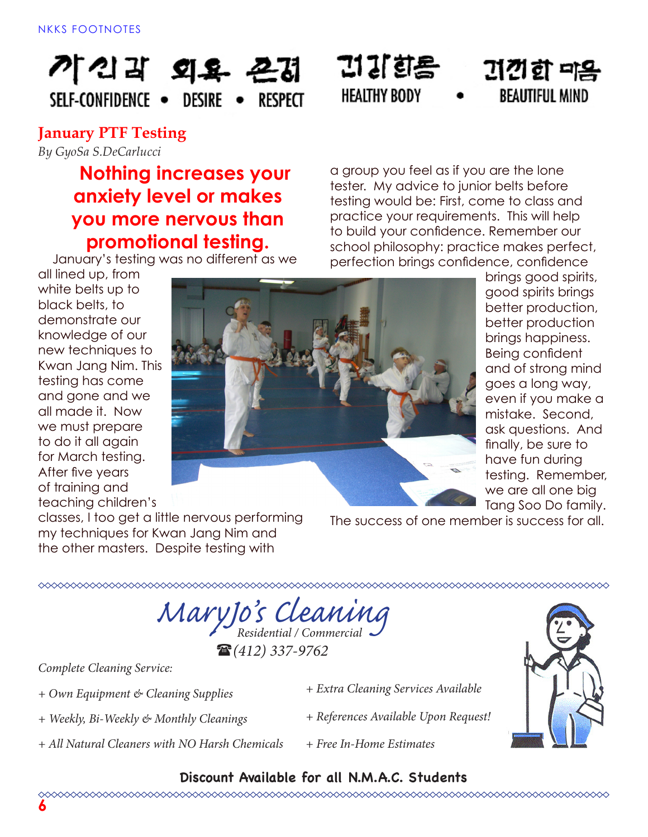# 기 21 외요 은격 SFLF-CONFIDENCE . DESIRE RESPECT

### **January PTF Testing**

*By GyoSa S.DeCarlucci*

# **Nothing increases your anxiety level or makes you more nervous than promotional testing.**

January's testing was no different as we

#### all lined up, from white belts up to black belts, to demonstrate our knowledge of our new techniques to Kwan Jang Nim. This testing has come and gone and we all made it. Now we must prepare to do it all again for March testing. After five years of training and teaching children's

classes, I too get a little nervous performing my techniques for Kwan Jang Nim and the other masters. Despite testing with

**HEALTHY BODY BEAUTIFUL MIND** a group you feel as if you are the lone tester. My advice to junior belts before

TI Ji tig

testing would be: First, come to class and practice your requirements. This will help to build your confidence. Remember our school philosophy: practice makes perfect, perfection brings confidence, confidence

> brings good spirits, good spirits brings better production, better production brings happiness. Being confident and of strong mind goes a long way, even if you make a mistake. Second, ask questions. And finally, be sure to have fun during testing. Remember, we are all one big Tang Soo Do family.

귀껍한 미음

The success of one member is success for all.

*MaryJo's Cleaning Residential / Commercial* (*(412) 337-9762*

*Complete Cleaning Service:*

- *+ Own Equipment & Cleaning Supplies*
- *+ Weekly, Bi-Weekly & Monthly Cleanings*
- *+ All Natural Cleaners with NO Harsh Chemicals*
- *+ Extra Cleaning Services Available*
- *+ References Available Upon Request!*
- *+ Free In-Home Estimates*



### **Discount Available for all N.M.A.C. Students**